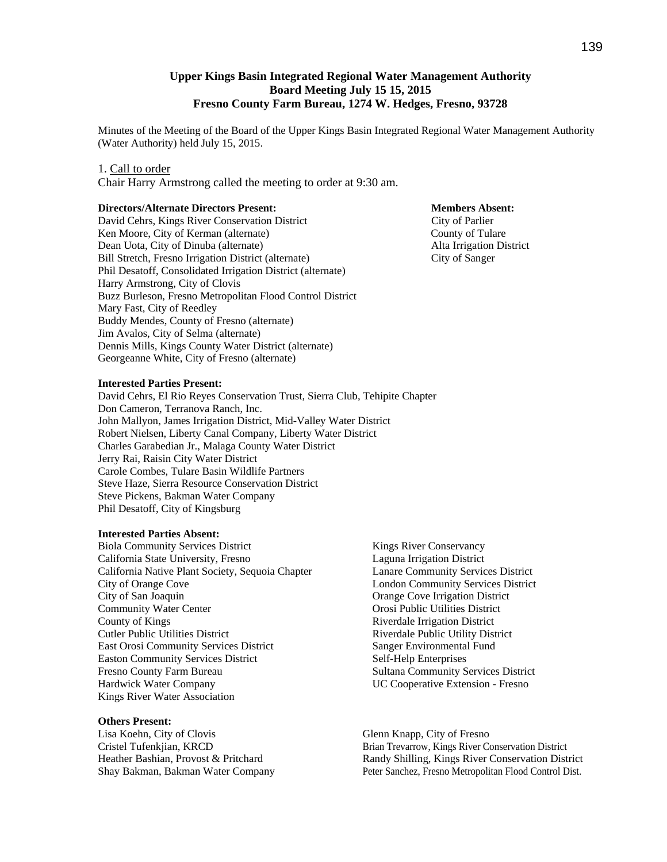## **Upper Kings Basin Integrated Regional Water Management Authority Board Meeting July 15 15, 2015 Fresno County Farm Bureau, 1274 W. Hedges, Fresno, 93728**

Minutes of the Meeting of the Board of the Upper Kings Basin Integrated Regional Water Management Authority (Water Authority) held July 15, 2015.

#### 1. Call to order

Chair Harry Armstrong called the meeting to order at 9:30 am.

### **Directors/Alternate Directors Present: Members Absent:**

David Cehrs, Kings River Conservation District City of Parlier Ken Moore, City of Kerman (alternate) County of Tulare Dean Uota, City of Dinuba (alternate) **Alta Irrigation District** Bill Stretch, Fresno Irrigation District (alternate) City of Sanger Phil Desatoff, Consolidated Irrigation District (alternate) Harry Armstrong, City of Clovis Buzz Burleson, Fresno Metropolitan Flood Control District Mary Fast, City of Reedley Buddy Mendes, County of Fresno (alternate) Jim Avalos, City of Selma (alternate) Dennis Mills, Kings County Water District (alternate) Georgeanne White, City of Fresno (alternate)

#### **Interested Parties Present:**

David Cehrs, El Rio Reyes Conservation Trust, Sierra Club, Tehipite Chapter Don Cameron, Terranova Ranch, Inc. John Mallyon, James Irrigation District, Mid-Valley Water District Robert Nielsen, Liberty Canal Company, Liberty Water District Charles Garabedian Jr., Malaga County Water District Jerry Rai, Raisin City Water District Carole Combes, Tulare Basin Wildlife Partners Steve Haze, Sierra Resource Conservation District Steve Pickens, Bakman Water Company Phil Desatoff, City of Kingsburg

#### **Interested Parties Absent:**

Biola Community Services District California State University, Fresno California Native Plant Society, Sequoia Chapter City of Orange Cove City of San Joaquin Community Water Center County of Kings Cutler Public Utilities District East Orosi Community Services District Easton Community Services District Fresno County Farm Bureau Hardwick Water Company Kings River Water Association

#### **Others Present:**

Lisa Koehn, City of Clovis Cristel Tufenkjian, KRCD Heather Bashian, Provost & Pritchard Shay Bakman, Bakman Water Company Kings River Conservancy Laguna Irrigation District Lanare Community Services District London Community Services District Orange Cove Irrigation District Orosi Public Utilities District Riverdale Irrigation District Riverdale Public Utility District Sanger Environmental Fund Self-Help Enterprises Sultana Community Services District UC Cooperative Extension - Fresno

Glenn Knapp, City of Fresno Brian Trevarrow, Kings River Conservation District Randy Shilling, Kings River Conservation District Peter Sanchez, Fresno Metropolitan Flood Control Dist.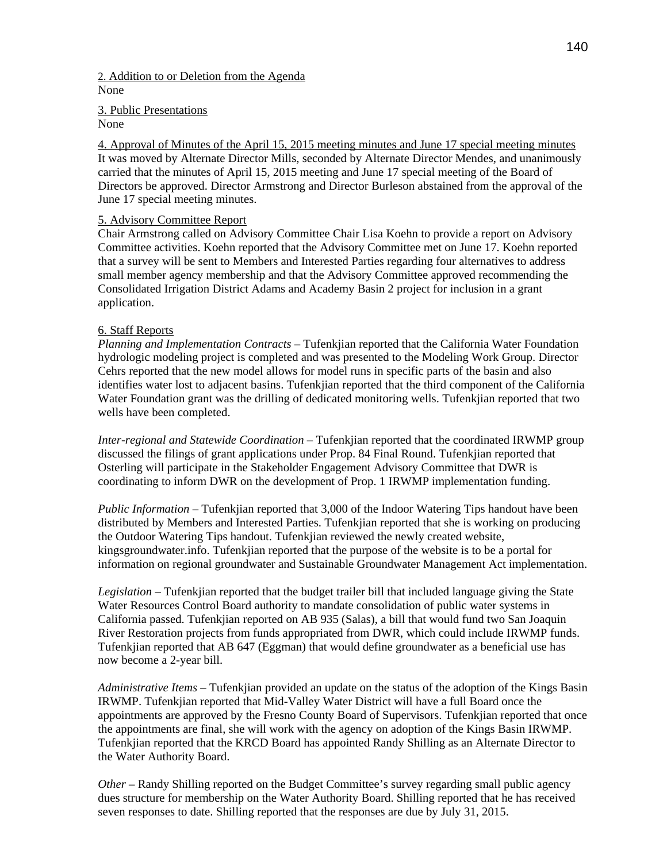## 2. Addition to or Deletion from the Agenda None

3. Public Presentations

None

4. Approval of Minutes of the April 15, 2015 meeting minutes and June 17 special meeting minutes It was moved by Alternate Director Mills, seconded by Alternate Director Mendes, and unanimously carried that the minutes of April 15, 2015 meeting and June 17 special meeting of the Board of Directors be approved. Director Armstrong and Director Burleson abstained from the approval of the June 17 special meeting minutes.

# 5. Advisory Committee Report

Chair Armstrong called on Advisory Committee Chair Lisa Koehn to provide a report on Advisory Committee activities. Koehn reported that the Advisory Committee met on June 17. Koehn reported that a survey will be sent to Members and Interested Parties regarding four alternatives to address small member agency membership and that the Advisory Committee approved recommending the Consolidated Irrigation District Adams and Academy Basin 2 project for inclusion in a grant application.

# 6. Staff Reports

*Planning and Implementation Contracts* – Tufenkjian reported that the California Water Foundation hydrologic modeling project is completed and was presented to the Modeling Work Group. Director Cehrs reported that the new model allows for model runs in specific parts of the basin and also identifies water lost to adjacent basins. Tufenkjian reported that the third component of the California Water Foundation grant was the drilling of dedicated monitoring wells. Tufenkjian reported that two wells have been completed.

*Inter-regional and Statewide Coordination* – Tufenkjian reported that the coordinated IRWMP group discussed the filings of grant applications under Prop. 84 Final Round. Tufenkjian reported that Osterling will participate in the Stakeholder Engagement Advisory Committee that DWR is coordinating to inform DWR on the development of Prop. 1 IRWMP implementation funding.

*Public Information* – Tufenkjian reported that 3,000 of the Indoor Watering Tips handout have been distributed by Members and Interested Parties. Tufenkjian reported that she is working on producing the Outdoor Watering Tips handout. Tufenkjian reviewed the newly created website, kingsgroundwater.info. Tufenkjian reported that the purpose of the website is to be a portal for information on regional groundwater and Sustainable Groundwater Management Act implementation.

*Legislation –* Tufenkjian reported that the budget trailer bill that included language giving the State Water Resources Control Board authority to mandate consolidation of public water systems in California passed. Tufenkjian reported on AB 935 (Salas), a bill that would fund two San Joaquin River Restoration projects from funds appropriated from DWR, which could include IRWMP funds. Tufenkjian reported that AB 647 (Eggman) that would define groundwater as a beneficial use has now become a 2-year bill.

*Administrative Items –* Tufenkjian provided an update on the status of the adoption of the Kings Basin IRWMP. Tufenkjian reported that Mid-Valley Water District will have a full Board once the appointments are approved by the Fresno County Board of Supervisors. Tufenkjian reported that once the appointments are final, she will work with the agency on adoption of the Kings Basin IRWMP. Tufenkjian reported that the KRCD Board has appointed Randy Shilling as an Alternate Director to the Water Authority Board.

*Other* – Randy Shilling reported on the Budget Committee's survey regarding small public agency dues structure for membership on the Water Authority Board. Shilling reported that he has received seven responses to date. Shilling reported that the responses are due by July 31, 2015.